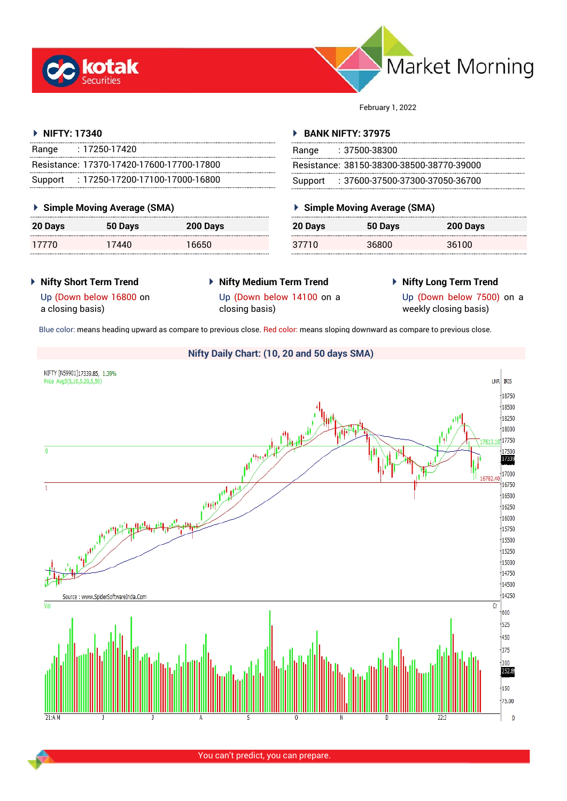



February 1, 2022

## **NIFTY: 17340**

| Range   | $: 17250 - 17420$                         |
|---------|-------------------------------------------|
|         | Resistance: 17370-17420-17600-17700-17800 |
| Support | $: 17250 - 17200 - 17100 - 17000 - 16800$ |

## **Simple Moving Average (SMA)**

| <b>20 Days</b> | 50 Days | 200 Days |
|----------------|---------|----------|
| 17770          | 17440   | 16650    |

## **BANK NIFTY: 37975**

| Range | : 37500-38300                             |
|-------|-------------------------------------------|
|       | Resistance: 38150-38300-38500-38770-39000 |
|       | Support: : 37600-37500-37300-37050-36700  |

# **Simple Moving Average (SMA)**

| 20 Days | 50 Days | 200 Days |
|---------|---------|----------|
| 37710   | 36800   | 36100    |

- **Nifty Short Term Trend**
- **Nifty Medium Term Trend**
- **Nifty Long Term Trend**

Up (Down below 16800 on a closing basis)

Up (Down below 14100 on a

closing basis)

Up (Down below 7500) on a weekly closing basis)

Blue color: means heading upward as compare to previous close. Red color: means sloping downward as compare to previous close.

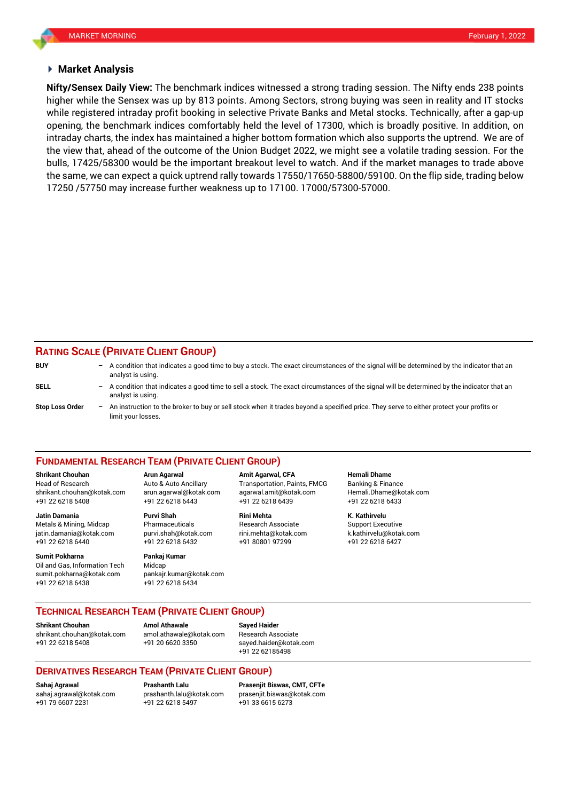#### **Market Analysis**

higher while the Sensex was up by 813 points. Among Sectors, strong buying was seen in reality and IT stocks **Nifty/Sensex Daily View:** The benchmark indices witnessed a strong trading session. The Nifty ends 238 points while registered intraday profit booking in selective Private Banks and Metal stocks. Technically, after a gap-up opening, the benchmark indices comfortably held the level of 17300, which is broadly positive. In addition, on intraday charts, the index has maintained a higher bottom formation which also supports the uptrend. We are of the view that, ahead of the outcome of the Union Budget 2022, we might see a volatile trading session. For the bulls, 17425/58300 would be the important breakout level to watch. And if the market manages to trade above the same, we can expect a quick uptrend rally towards 17550/17650-58800/59100. On the flip side, trading below 17250 /57750 may increase further weakness up to 17100. 17000/57300-57000.

## **RATING SCALE (PRIVATE CLIENT GROUP)**

| <b>BUY</b>             |                          | $-$ A condition that indicates a good time to buy a stock. The exact circumstances of the signal will be determined by the indicator that an<br>analyst is using. |
|------------------------|--------------------------|-------------------------------------------------------------------------------------------------------------------------------------------------------------------|
| <b>SELL</b>            | -                        | A condition that indicates a good time to sell a stock. The exact circumstances of the signal will be determined by the indicator that an<br>analyst is using.    |
| <b>Stop Loss Order</b> | $\overline{\phantom{0}}$ | An instruction to the broker to buy or sell stock when it trades beyond a specified price. They serve to either protect your profits or<br>limit your losses.     |

#### **FUNDAMENTAL RESEARCH TEAM (PRIVATE CLIENT GROUP)**

**Shrikant Chouhan Arun Agarwal Amit Agarwal, CFA Hemali Dhame**

+91 22 6218 5408 +91 22 6218 6443 +91 22 6218 6439 +91 22 6218 6433 **Jatin Damania Purvi Shah Rini Mehta K. Kathirvelu**

jatin.damania@kotak.com [purvi.shah@kotak.com](mailto:purvi.shah@kotak.com) rini.mehta@kotak.com [k.kathirvelu@kotak.com](mailto:k.kathirvelu@kotak.com)

Oil and Gas, Information Tech Midcap

 $+91$  22 6218 6432 **Sumit Pokharna** Pankaj Kumar sumit.pokharna@kotak.com pankajr.kumar@kotak.com

+91 22 6218 6438 +91 22 6218 6434

Head of Research Auto & Auto Ancillary Transportation, Paints, FMCG Banking & Finance [shrikant.chouhan@kotak.com](mailto:shrikant.chouhan@kotak.com) arun.agarwal@kotak.com agarwal.amit@kotak.com Hemali.Dhame@kotak.com

Metals & Mining, Midcap Pharmaceuticals Research Associate Support Executive

### **TECHNICAL RESEARCH TEAM (PRIVATE CLIENT GROUP)**

[shrikant.chouhan@kotak.com](mailto:shrikant.chouhan@kotak.com) [amol.athawale@kotak.com](mailto:amol.athawale@kotak.com) Research Associate +91 22 6218 5408 +91 20 6620 3350 [sayed.haider@kotak.com](mailto:sayed.haider@kotak.com)

**Shrikant Chouhan Amol Athawale Sayed Haider**

+91 22 62185498

## **DERIVATIVES RESEARCH TEAM (PRIVATE CLIENT GROUP)**

**Sahaj Agrawal Prashanth Lalu Prasenjit Biswas, CMT, CFTe** [sahaj.agrawal@kotak.com](mailto:sahaj.agrawal@kotak.com) [prashanth.lalu@kotak.com](mailto:prashanth.lalu@kotak.com) [prasenjit.biswas@kotak.com](mailto:prasenjit.biswas@kotak.com) +91 22 6218 5497 +91 33 6615 6273